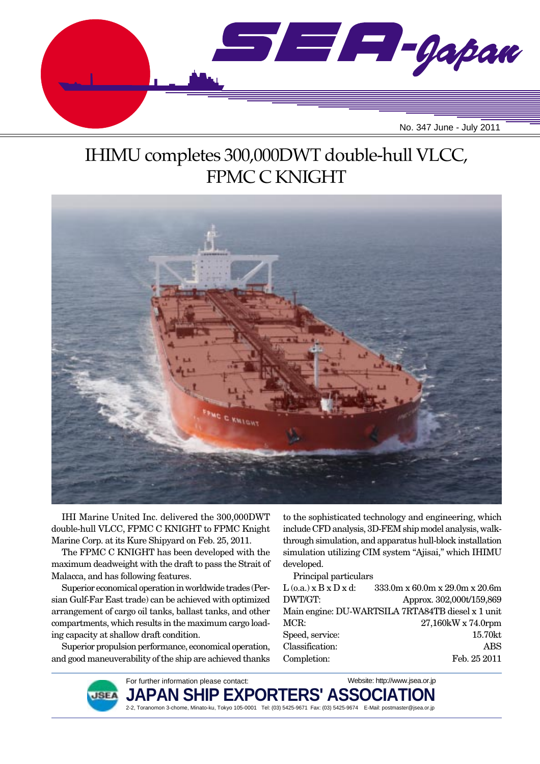

# IHIMU completes 300,000DWT double-hull VLCC, FPMC C KNIGHT



IHI Marine United Inc. delivered the 300,000DWT double-hull VLCC, FPMC C KNIGHT to FPMC Knight Marine Corp. at its Kure Shipyard on Feb. 25, 2011.

The FPMC C KNIGHT has been developed with the maximum deadweight with the draft to pass the Strait of Malacca, and has following features.

Superior economical operation in worldwide trades (Persian Gulf-Far East trade) can be achieved with optimized arrangement of cargo oil tanks, ballast tanks, and other compartments, which results in the maximum cargo loading capacity at shallow draft condition.

Superior propulsion performance, economical operation, and good maneuverability of the ship are achieved thanks

**ISE** 

to the sophisticated technology and engineering, which include CFD analysis, 3D-FEM ship model analysis, walkthrough simulation, and apparatus hull-block installation simulation utilizing CIM system "Ajisai," which IHIMU developed.

Principal particulars

| $L$ (o.a.) $x B x D x d$ : | $333.0$ m x 60.0m x 29.0m x 20.6m                 |
|----------------------------|---------------------------------------------------|
| DWT/GT:                    | Approx. 302,000t/159,869                          |
|                            | Main engine: DU-WARTSILA 7RTA84TB diesel x 1 unit |
| MCR:                       | 27,160kW x 74.0rpm                                |
| Speed, service:            | 15.70kt                                           |
| Classification:            | ABS                                               |
| Completion:                | Feb. 25 2011                                      |

For further information please contact: JAPAN SHIP EXPORTERS' ASSO 2-2, Toranomon 3-chome, Minato-ku, Tokyo 105-0001 Tel: (03) 5425-9671 Fax: (03) 5425-9674 E-Mail: postmaster@jsea.or.jp Website: http://www.jsea.or.jp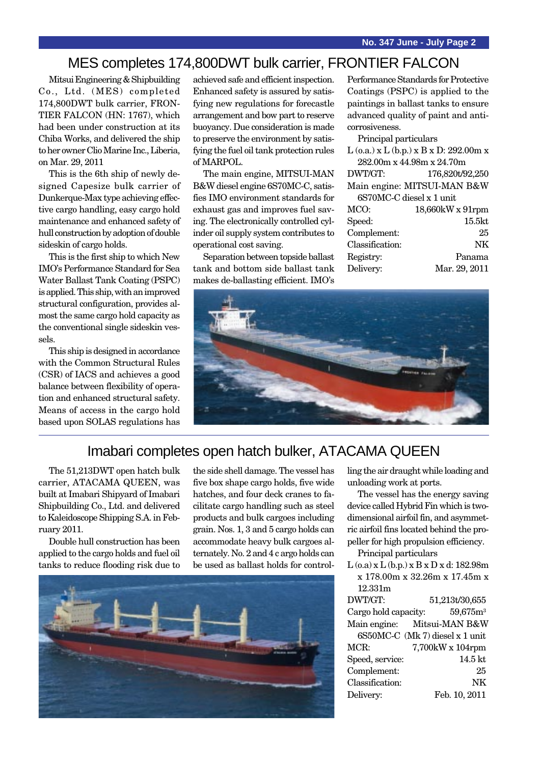### MES completes 174,800DWT bulk carrier, FRONTIER FALCON

Mitsui Engineering & Shipbuilding Co., Ltd. (MES) completed 174,800DWT bulk carrier, FRON-TIER FALCON (HN: 1767), which had been under construction at its Chiba Works, and delivered the ship to her owner Clio Marine Inc., Liberia, on Mar. 29, 2011

This is the 6th ship of newly designed Capesize bulk carrier of Dunkerque-Max type achieving effective cargo handling, easy cargo hold maintenance and enhanced safety of hull construction by adoption of double sideskin of cargo holds.

This is the first ship to which New IMO's Performance Standard for Sea Water Ballast Tank Coating (PSPC) is applied. This ship, with an improved structural configuration, provides almost the same cargo hold capacity as the conventional single sideskin vessels.

This ship is designed in accordance with the Common Structural Rules (CSR) of IACS and achieves a good balance between flexibility of operation and enhanced structural safety. Means of access in the cargo hold based upon SOLAS regulations has achieved safe and efficient inspection. Enhanced safety is assured by satisfying new regulations for forecastle arrangement and bow part to reserve buoyancy. Due consideration is made to preserve the environment by satisfying the fuel oil tank protection rules of MARPOL.

The main engine, MITSUI-MAN B&W diesel engine 6S70MC-C, satisfies IMO environment standards for exhaust gas and improves fuel saving. The electronically controlled cylinder oil supply system contributes to operational cost saving.

Separation between topside ballast tank and bottom side ballast tank makes de-ballasting efficient. IMO's Performance Standards for Protective Coatings (PSPC) is applied to the paintings in ballast tanks to ensure advanced quality of paint and anticorrosiveness.

Principal particulars L (o.a.) x L (b.p.) x B x D: 292.00m x 282.00m x 44.98m x 24.70m DWT/GT: 176,820t/92,250 Main engine: MITSUI-MAN B&W 6S70MC-C diesel x 1 unit MCO: 18,660kW x 91rpm Speed: 15.5kt Complement: 25 Classification: NK Registry: Panama Delivery: Mar. 29, 2011



#### Imabari completes open hatch bulker, ATACAMA QUEEN

The 51,213DWT open hatch bulk carrier, ATACAMA QUEEN, was built at Imabari Shipyard of Imabari Shipbuilding Co., Ltd. and delivered to Kaleidoscope Shipping S.A. in February 2011.

Double hull construction has been applied to the cargo holds and fuel oil tanks to reduce flooding risk due to the side shell damage. The vessel has five box shape cargo holds, five wide hatches, and four deck cranes to facilitate cargo handling such as steel products and bulk cargoes including grain. Nos. 1, 3 and 5 cargo holds can accommodate heavy bulk cargoes alternately. No. 2 and 4 c argo holds can be used as ballast holds for control-



ling the air draught while loading and unloading work at ports.

The vessel has the energy saving device called Hybrid Fin which is twodimensional airfoil fin, and asymmetric airfoil fins located behind the propeller for high propulsion efficiency.

Principal particulars

|                      | $L$ (o.a) x $L$ (b.p.) x $B$ x $D$ x d: 182.98m |
|----------------------|-------------------------------------------------|
|                      | x 178.00m x 32.26m x 17.45m x                   |
| 12.331m              |                                                 |
| DWT/GT:              | 51,213t/30,655                                  |
| Cargo hold capacity: | $59,675m^3$                                     |
|                      | Main engine: Mitsui-MAN B&W                     |
|                      | 6S50MC-C (Mk 7) diesel x 1 unit                 |
| MCR:                 | 7,700kW x 104rpm                                |
| Speed, service:      | 14.5 kt                                         |
| $\alpha$ 1 $\beta$   | ∩٣                                              |

Complement: 25 Classification: NK Delivery: Feb. 10, 2011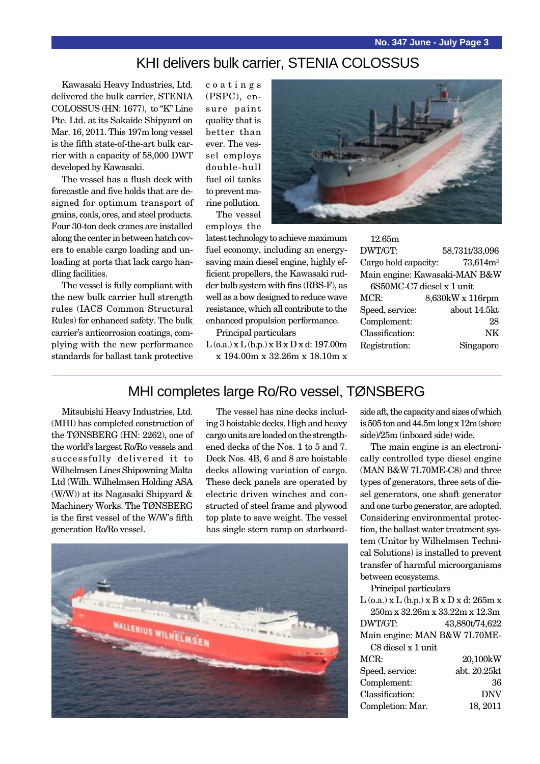#### KHI delivers bulk carrier, STENIA COLOSSUS

Kawasaki Heavy Industries, Ltd. delivered the bulk carrier, STENIA COLOSSUS (HN: 1677), to "K" Line Pte. Ltd. at its Sakaide Shipyard on Mar. 16, 2011. This 197m long vessel is the fifth state-of-the-art bulk carrier with a capacity of 58,000 DWT developed by Kawasaki.

The vessel has a flush deck with forecastle and five holds that are designed for optimum transport of grains, coals, ores, and steel products. Four 30-ton deck cranes are installed along the center in between hatch covers to enable cargo loading and unloading at ports that lack cargo handling facilities.

The vessel is fully compliant with the new bulk carrier hull strength rules (IACS Common Structural Rules) for enhanced safety. The bulk carrier's anticorrosion coatings, complying with the new performance standards for ballast tank protective

coatings (PSPC), ensure paint quality that is better than ever. The vessel employs double-hull fuel oil tanks to prevent marine pollution. The vessel

employs the

latest technology to achieve maximum fuel economy, including an energysaving main diesel engine, highly efficient propellers, the Kawasaki rudder bulb system with fins (RBS-F), as well as a bow designed to reduce wave resistance, which all contribute to the enhanced propulsion performance.

Principal particulars

 $L$  (o.a.) x  $L$  (b.p.) x  $B$  x  $D$  x d: 197.00m x 194.00m x 32.26m x 18.10m x

| 12.65m                        |                  |  |
|-------------------------------|------------------|--|
| DWT/GT:                       | 58,731t/33,096   |  |
| Cargo hold capacity:          | $73,614m^3$      |  |
| Main engine: Kawasaki-MAN B&W |                  |  |
| 6S50MC-C7 diesel x 1 unit     |                  |  |
| MCR:                          | 8,630kW x 116rpm |  |
| Speed, service:               | about 14.5kt     |  |
| Complement:                   | 28               |  |
| Classification:               | NK               |  |
| Registration:                 | Singapore        |  |
|                               |                  |  |

#### MHI completes large Ro/Ro vessel, TØNSBERG

Mitsubishi Heavy Industries, Ltd. (MHI) has completed construction of the TØNSBERG (HN: 2262), one of the world's largest Ro/Ro vessels and successfully delivered it to Wilhelmsen Lines Shipowning Malta Ltd (Wilh. Wilhelmsen Holding ASA (W/W)) at its Nagasaki Shipyard & Machinery Works. The TØNSBERG is the first vessel of the W/W's fifth generation Ro/Ro vessel.

The vessel has nine decks including 3 hoistable decks. High and heavy cargo units are loaded on the strengthened decks of the Nos. 1 to 5 and 7. Deck Nos. 4B, 6 and 8 are hoistable decks allowing variation of cargo. These deck panels are operated by electric driven winches and constructed of steel frame and plywood top plate to save weight. The vessel has single stern ramp on starboard-



side aft, the capacity and sizes of which is 505 ton and 44.5m long x 12m (shore side)/25m (inboard side) wide.

The main engine is an electronically controlled type diesel engine (MAN B&W 7L70ME-C8) and three types of generators, three sets of diesel generators, one shaft generator and one turbo generator, are adopted. Considering environmental protection, the ballast water treatment system (Unitor by Wilhelmsen Technical Solutions) is installed to prevent transfer of harmful microorganisms between ecosystems.

Principal particulars

| $L$ (o.a.) x $L$ (b.p.) x $B$ x $D$ x d: 265m x |                |
|-------------------------------------------------|----------------|
| 250m x 32.26m x 33.22m x 12.3m                  |                |
| DWT/GT:                                         | 43,880t/74,622 |
| Main engine: MAN B&W 7L70ME-                    |                |
| C8 diesel x 1 unit                              |                |
| MCR:                                            | 20,100kW       |
| Speed, service:                                 | abt. 20.25kt   |
| Complement:                                     | 36             |
| Classification:                                 | <b>DNV</b>     |
| Completion: Mar.                                | 18, 2011       |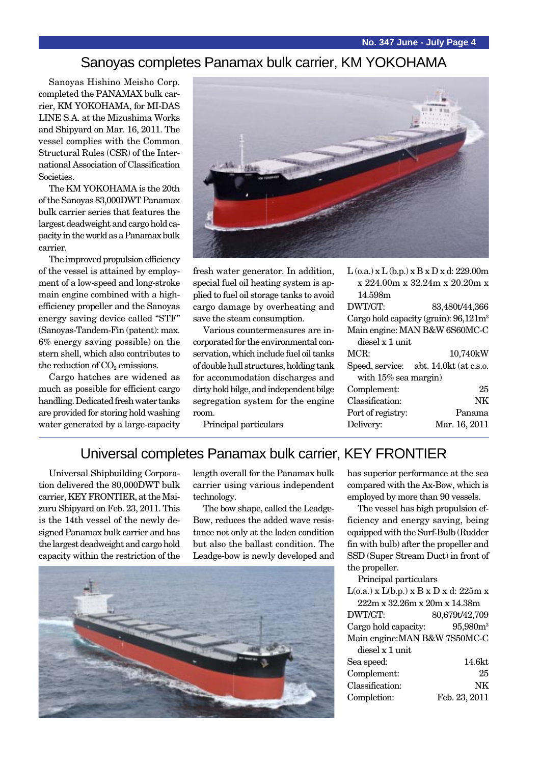#### Sanoyas completes Panamax bulk carrier, KM YOKOHAMA

Sanoyas Hishino Meisho Corp. completed the PANAMAX bulk carrier, KM YOKOHAMA, for MI-DAS LINE S.A. at the Mizushima Works and Shipyard on Mar. 16, 2011. The vessel complies with the Common Structural Rules (CSR) of the International Association of Classification **Societies** 

The KM YOKOHAMA is the 20th of the Sanoyas 83,000DWT Panamax bulk carrier series that features the largest deadweight and cargo hold capacity in the world as a Panamax bulk carrier.

The improved propulsion efficiency of the vessel is attained by employment of a low-speed and long-stroke main engine combined with a highefficiency propeller and the Sanoyas energy saving device called "STF" (Sanoyas-Tandem-Fin (patent): max. 6% energy saving possible) on the stern shell, which also contributes to the reduction of  $CO<sub>2</sub>$  emissions.

Cargo hatches are widened as much as possible for efficient cargo handling. Dedicated fresh water tanks are provided for storing hold washing water generated by a large-capacity



fresh water generator. In addition, special fuel oil heating system is applied to fuel oil storage tanks to avoid cargo damage by overheating and save the steam consumption.

Various countermeasures are incorporated for the environmental conservation, which include fuel oil tanks of double hull structures, holding tank for accommodation discharges and dirty hold bilge, and independent bilge segregation system for the engine room.

Principal particulars

| $L$ (o.a.) x $L$ (b.p.) x $B$ x $D$ x d: 229.00m |                                         |  |
|--------------------------------------------------|-----------------------------------------|--|
| x 224.00m x 32.24m x 20.20m x                    |                                         |  |
| 14.598m                                          |                                         |  |
| DWT/GT:                                          | 83,480t/44,366                          |  |
|                                                  | Cargo hold capacity (grain): $96,121m3$ |  |
| Main engine: MAN B&W 6S60MC-C                    |                                         |  |
| diesel x 1 unit                                  |                                         |  |
| MCR:                                             | 10,740kW                                |  |
|                                                  |                                         |  |
|                                                  | Speed, service: abt. 14.0kt (at c.s.o.  |  |
| with $15\%$ sea margin)                          |                                         |  |
| Complement:                                      | 25                                      |  |
| Classification:                                  | NΚ                                      |  |
| Port of registry:                                | Panama                                  |  |
| Delivery:                                        | Mar. 16, 2011                           |  |

#### Universal completes Panamax bulk carrier, KEY FRONTIER

Universal Shipbuilding Corporation delivered the 80,000DWT bulk carrier, KEY FRONTIER, at the Maizuru Shipyard on Feb. 23, 2011. This is the 14th vessel of the newly designed Panamax bulk carrier and has the largest deadweight and cargo hold capacity within the restriction of the

length overall for the Panamax bulk carrier using various independent technology.

The bow shape, called the Leadge-Bow, reduces the added wave resistance not only at the laden condition but also the ballast condition. The Leadge-bow is newly developed and



has superior performance at the sea compared with the Ax-Bow, which is employed by more than 90 vessels.

The vessel has high propulsion efficiency and energy saving, being equipped with the Surf-Bulb (Rudder fin with bulb) after the propeller and SSD (Super Stream Duct) in front of the propeller.

Principal particulars

 $L(o.a.)$  x  $L(b.p.)$  x  $B$  x  $D$  x  $d: 225m$  x 222m x 32.26m x 20m x 14.38m DWT/GT: 80,679t/42,709 Cargo hold capacity: 95,980m<sup>3</sup> Main engine:MAN B&W 7S50MC-C diesel x 1 unit

| Sea speed:      | 14.6kt        |
|-----------------|---------------|
| Complement:     | 25            |
| Classification: | NK            |
| Completion:     | Feb. 23, 2011 |
|                 |               |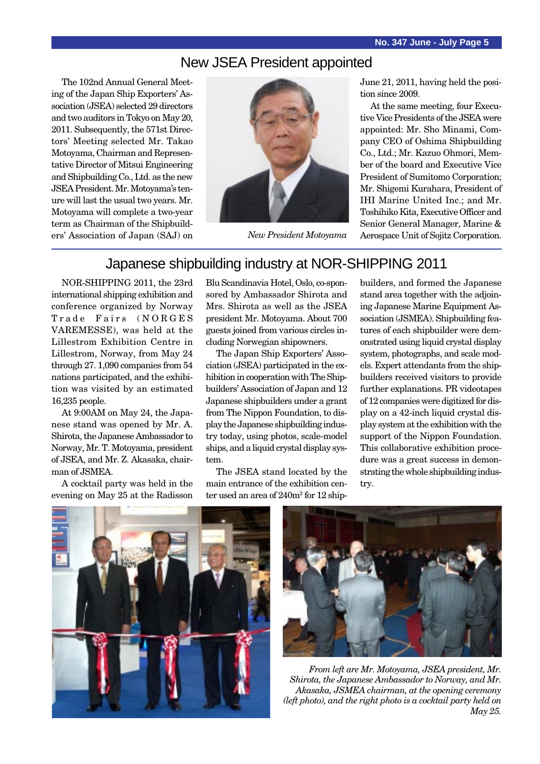#### New JSEA President appointed

The 102nd Annual General Meeting of the Japan Ship Exporters' Association (JSEA) selected 29 directors and two auditors in Tokyo on May 20, 2011. Subsequently, the 571st Directors' Meeting selected Mr. Takao Motoyama, Chairman and Representative Director of Mitsui Engineering and Shipbuilding Co., Ltd. as the new JSEA President. Mr. Motoyama's tenure will last the usual two years. Mr. Motoyama will complete a two-year term as Chairman of the Shipbuilders' Association of Japan (SAJ) on



June 21, 2011, having held the position since 2009.

At the same meeting, four Executive Vice Presidents of the JSEA were appointed: Mr. Sho Minami, Company CEO of Oshima Shipbuilding Co., Ltd.; Mr. Kazuo Ohmori, Member of the board and Executive Vice President of Sumitomo Corporation; Mr. Shigemi Kurahara, President of IHI Marine United Inc.; and Mr. Toshihiko Kita, Executive Officer and Senior General Manager, Marine & *New President Motoyama* Aerospace Unit of Sojitz Corporation.

### Japanese shipbuilding industry at NOR-SHIPPING 2011

NOR-SHIPPING 2011, the 23rd international shipping exhibition and conference organized by Norway Trade Fairs (NORGES VAREMESSE), was held at the Lillestrom Exhibition Centre in Lillestrom, Norway, from May 24 through 27. 1,090 companies from 54 nations participated, and the exhibition was visited by an estimated 16,235 people.

At 9:00AM on May 24, the Japanese stand was opened by Mr. A. Shirota, the Japanese Ambassador to Norway, Mr. T. Motoyama, president of JSEA, and Mr. Z. Akasaka, chairman of JSMEA.

A cocktail party was held in the evening on May 25 at the Radisson Blu Scandinavia Hotel, Oslo, co-sponsored by Ambassador Shirota and Mrs. Shirota as well as the JSEA president Mr. Motoyama. About 700 guests joined from various circles including Norwegian shipowners.

The Japan Ship Exporters' Association (JSEA) participated in the exhibition in cooperation with The Shipbuilders' Association of Japan and 12 Japanese shipbuilders under a grant from The Nippon Foundation, to display the Japanese shipbuilding industry today, using photos, scale-model ships, and a liquid crystal display system.

The JSEA stand located by the main entrance of the exhibition center used an area of  $240m^2$  for  $12 \text{ ship}$ 

builders, and formed the Japanese stand area together with the adjoining Japanese Marine Equipment Association (JSMEA). Shipbuilding features of each shipbuilder were demonstrated using liquid crystal display system, photographs, and scale models. Expert attendants from the shipbuilders received visitors to provide further explanations. PR videotapes of 12 companies were digitized for display on a 42-inch liquid crystal display system at the exhibition with the support of the Nippon Foundation. This collaborative exhibition procedure was a great success in demonstrating the whole shipbuilding industry.





*From left are Mr. Motoyama, JSEA president, Mr. Shirota, the Japanese Ambassador to Norway, and Mr. Akasaka, JSMEA chairman, at the opening ceremony (left photo), and the right photo is a cocktail party held on May 25.*